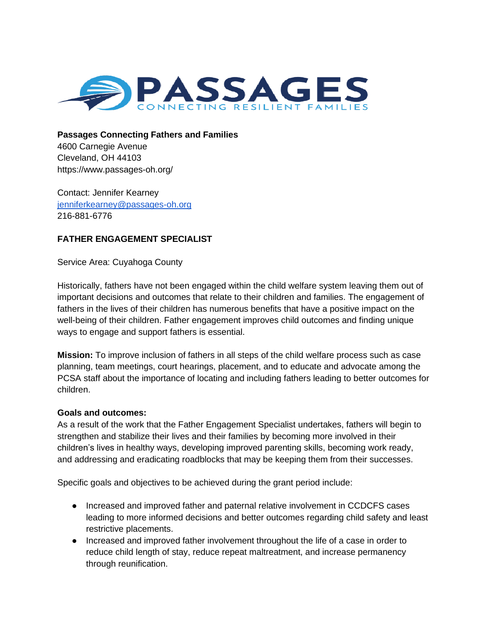

**Passages Connecting Fathers and Families** 4600 Carnegie Avenue Cleveland, OH 44103

https://www.passages-oh.org/

Contact: Jennifer Kearney [jenniferkearney@passages-oh.org](mailto:jenniferkearney@passages-oh.org) 216-881-6776

## **FATHER ENGAGEMENT SPECIALIST**

Service Area: Cuyahoga County

Historically, fathers have not been engaged within the child welfare system leaving them out of important decisions and outcomes that relate to their children and families. The engagement of fathers in the lives of their children has numerous benefits that have a positive impact on the well-being of their children. Father engagement improves child outcomes and finding unique ways to engage and support fathers is essential.

**Mission:** To improve inclusion of fathers in all steps of the child welfare process such as case planning, team meetings, court hearings, placement, and to educate and advocate among the PCSA staff about the importance of locating and including fathers leading to better outcomes for children.

## **Goals and outcomes:**

As a result of the work that the Father Engagement Specialist undertakes, fathers will begin to strengthen and stabilize their lives and their families by becoming more involved in their children's lives in healthy ways, developing improved parenting skills, becoming work ready, and addressing and eradicating roadblocks that may be keeping them from their successes.

Specific goals and objectives to be achieved during the grant period include:

- Increased and improved father and paternal relative involvement in CCDCFS cases leading to more informed decisions and better outcomes regarding child safety and least restrictive placements.
- Increased and improved father involvement throughout the life of a case in order to reduce child length of stay, reduce repeat maltreatment, and increase permanency through reunification.